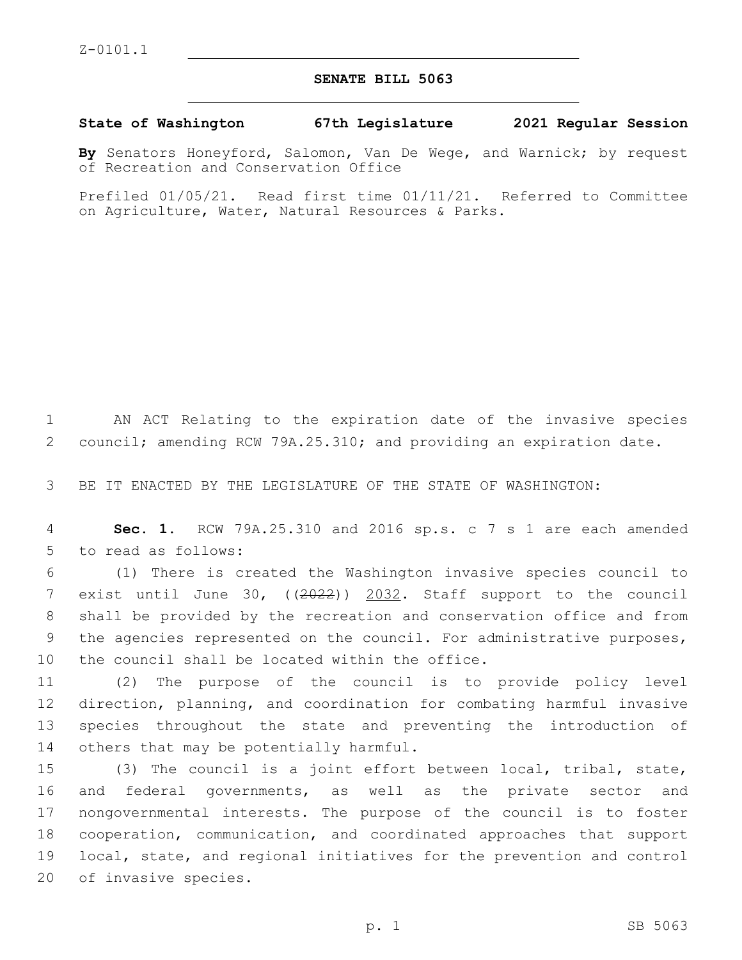## **SENATE BILL 5063**

**State of Washington 67th Legislature 2021 Regular Session**

**By** Senators Honeyford, Salomon, Van De Wege, and Warnick; by request of Recreation and Conservation Office

Prefiled 01/05/21. Read first time 01/11/21. Referred to Committee on Agriculture, Water, Natural Resources & Parks.

1 AN ACT Relating to the expiration date of the invasive species 2 council; amending RCW 79A.25.310; and providing an expiration date.

3 BE IT ENACTED BY THE LEGISLATURE OF THE STATE OF WASHINGTON:

4 **Sec. 1.** RCW 79A.25.310 and 2016 sp.s. c 7 s 1 are each amended 5 to read as follows:

6 (1) There is created the Washington invasive species council to 7 exist until June 30, ((2022)) 2032. Staff support to the council 8 shall be provided by the recreation and conservation office and from 9 the agencies represented on the council. For administrative purposes, 10 the council shall be located within the office.

 (2) The purpose of the council is to provide policy level direction, planning, and coordination for combating harmful invasive species throughout the state and preventing the introduction of 14 others that may be potentially harmful.

 (3) The council is a joint effort between local, tribal, state, and federal governments, as well as the private sector and nongovernmental interests. The purpose of the council is to foster cooperation, communication, and coordinated approaches that support local, state, and regional initiatives for the prevention and control 20 of invasive species.